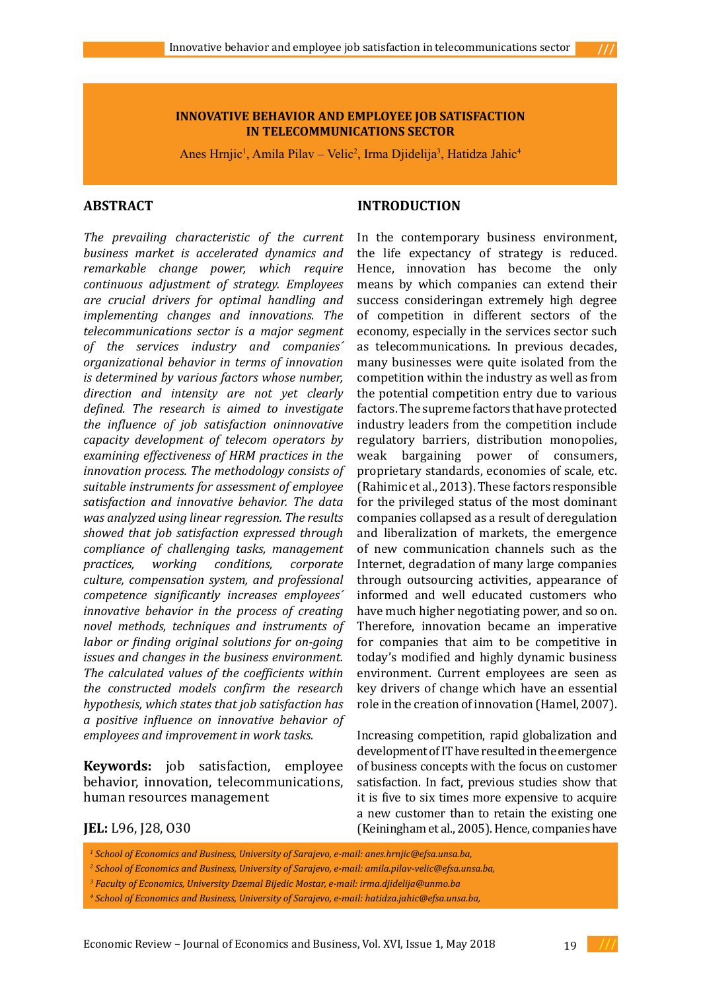## **INNOVATIVE BEHAVIOR AND EMPLOYEE JOB SATISFACTION IN TELECOMMUNICATIONS SECTOR**

Anes Hrnjic<sup>1</sup>, Amila Pilav – Velic<sup>2</sup>, Irma Djidelija<sup>3</sup>, Hatidza Jahic<sup>4</sup>

# **ABSTRACT**

*The prevailing characteristic of the current business market is accelerated dynamics and remarkable change power, which require continuous adjustment of strategy. Employees are crucial drivers for optimal handling and implementing changes and innovations. The telecommunications sector is a major segment of the services industry and companies´ organizational behavior in terms of innovation is determined by various factors whose number, direction and intensity are not yet clearly defined. The research is aimed to investigate the influence of job satisfaction oninnovative capacity development of telecom operators by examining effectiveness of HRM practices in the innovation process. The methodology consists of suitable instruments for assessment of employee satisfaction and innovative behavior. The data was analyzed using linear regression. The results showed that job satisfaction expressed through compliance of challenging tasks, management practices, working conditions, corporate culture, compensation system, and professional competence significantly increases employees´ innovative behavior in the process of creating novel methods, techniques and instruments of labor or finding original solutions for on-going issues and changes in the business environment. The calculated values of the coefficients within the constructed models confirm the research hypothesis, which states that job satisfaction has a positive influence on innovative behavior of employees and improvement in work tasks.*

**Keywords:** job satisfaction, employee behavior, innovation, telecommunications, human resources management

# **INTRODUCTION**

In the contemporary business environment, the life expectancy of strategy is reduced. Hence, innovation has become the only means by which companies can extend their success consideringan extremely high degree of competition in different sectors of the economy, especially in the services sector such as telecommunications. In previous decades, many businesses were quite isolated from the competition within the industry as well as from the potential competition entry due to various factors. The supreme factors that have protected industry leaders from the competition include regulatory barriers, distribution monopolies,<br>weak bargaining power of consumers, bargaining power of consumers, proprietary standards, economies of scale, etc. (Rahimic et al., 2013). These factors responsible for the privileged status of the most dominant companies collapsed as a result of deregulation and liberalization of markets, the emergence of new communication channels such as the Internet, degradation of many large companies through outsourcing activities, appearance of informed and well educated customers who have much higher negotiating power, and so on. Therefore, innovation became an imperative for companies that aim to be competitive in today's modified and highly dynamic business environment. Current employees are seen as key drivers of change which have an essential role in the creation of innovation (Hamel, 2007).

Increasing competition, rapid globalization and development of IT have resulted in the emergence of business concepts with the focus on customer satisfaction. In fact, previous studies show that it is five to six times more expensive to acquire a new customer than to retain the existing one (Keiningham et al., 2005). Hence, companies have

### **JEL:** L96, J28, O30

*1 School of Economics and Business, University of Sarajevo, e-mail: [anes.hrnjic@efsa.unsa.ba](mailto:anes.hrnjic@efsa.unsa.ba),*

*3 Faculty of Economics, University Dzemal Bijedic Mostar, e-mail: [irma.djidelija@unmo.ba](mailto:irma.djidelija@unmo.ba)*

19

*<sup>2</sup> School of Economics and Business, University of Sarajevo, e-mail: [amila.pilav-velic@efsa.unsa.ba,](mailto:amila.pilav-velic@efsa.unsa.ba)*

*<sup>4</sup> School of Economics and Business, University of Sarajevo, e-mail: [hatidza.jahic@efsa.unsa.ba,](mailto:amila.pilav-velic@efsa.unsa.ba)*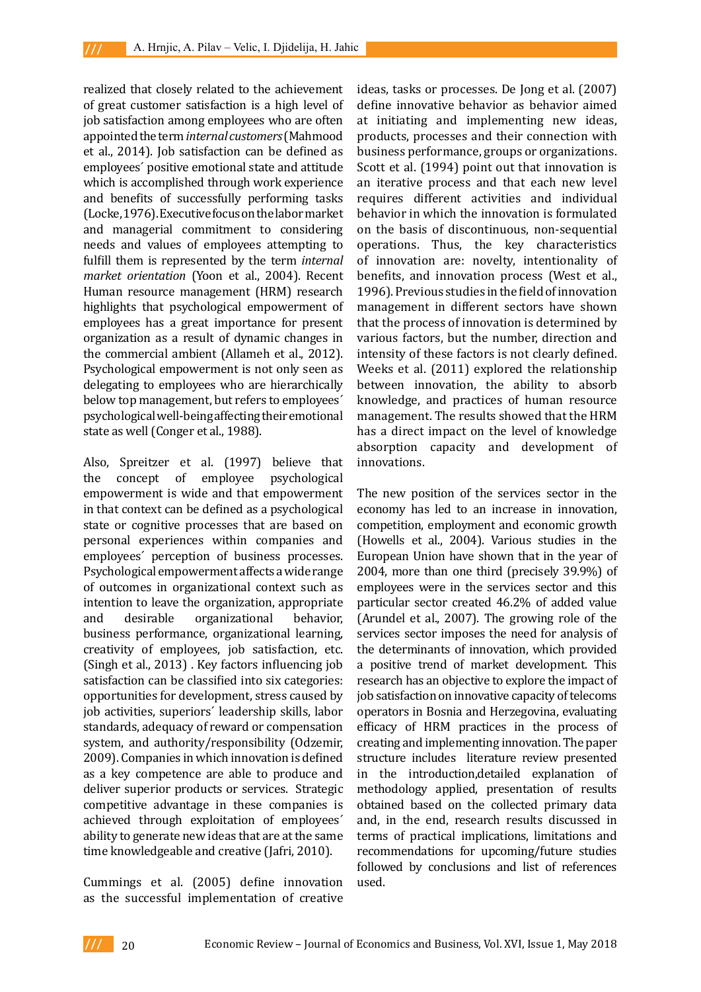realized that closely related to the achievement of great customer satisfaction is a high level of job satisfaction among employees who are often appointed the term *internal customers* (Mahmood et al., 2014). Job satisfaction can be defined as employees´ positive emotional state and attitude which is accomplished through work experience and benefits of successfully performing tasks (Locke, 1976). Executive focus on the labor market and managerial commitment to considering needs and values of employees attempting to fulfill them is represented by the term *internal market orientation* (Yoon et al., 2004). Recent Human resource management (HRM) research highlights that psychological empowerment of employees has a great importance for present organization as a result of dynamic changes in the commercial ambient (Allameh et al., 2012). Psychological empowerment is not only seen as delegating to employees who are hierarchically below top management, but refers to employees´ psychological well-being affecting their emotional state as well (Conger et al., 1988).

Also, Spreitzer et al. (1997) believe that the concept of employee psychological empowerment is wide and that empowerment in that context can be defined as a psychological state or cognitive processes that are based on personal experiences within companies and employees´ perception of business processes. Psychological empowerment affects a wide range of outcomes in organizational context such as intention to leave the organization, appropriate and desirable organizational behavior, business performance, organizational learning, creativity of employees, job satisfaction, etc. (Singh et al., 2013) . Key factors influencing job satisfaction can be classified into six categories: opportunities for development, stress caused by job activities, superiors´ leadership skills, labor standards, adequacy of reward or compensation system, and authority/responsibility (Odzemir, 2009). Companies in which innovation is defined as a key competence are able to produce and deliver superior products or services. Strategic competitive advantage in these companies is achieved through exploitation of employees´ ability to generate new ideas that are at the same time knowledgeable and creative (Jafri, 2010).

Cummings et al. (2005) define innovation as the successful implementation of creative

ideas, tasks or processes. De Jong et al. (2007) define innovative behavior as behavior aimed at initiating and implementing new ideas, products, processes and their connection with business performance, groups or organizations. Scott et al. (1994) point out that innovation is an iterative process and that each new level requires different activities and individual behavior in which the innovation is formulated on the basis of discontinuous, non-sequential operations. Thus, the key characteristics of innovation are: novelty, intentionality of benefits, and innovation process (West et al., 1996). Previous studies in the field of innovation management in different sectors have shown that the process of innovation is determined by various factors, but the number, direction and intensity of these factors is not clearly defined. Weeks et al. (2011) explored the relationship between innovation, the ability to absorb knowledge, and practices of human resource management. The results showed that the HRM has a direct impact on the level of knowledge absorption capacity and development of innovations.

The new position of the services sector in the economy has led to an increase in innovation, competition, employment and economic growth (Howells et al., 2004). Various studies in the European Union have shown that in the year of 2004, more than one third (precisely 39.9%) of employees were in the services sector and this particular sector created 46.2% of added value (Arundel et al., 2007). The growing role of the services sector imposes the need for analysis of the determinants of innovation, which provided a positive trend of market development. This research has an objective to explore the impact of job satisfaction on innovative capacity of telecoms operators in Bosnia and Herzegovina, evaluating efficacy of HRM practices in the process of creating and implementing innovation. The paper structure includes literature review presented in the introduction,detailed explanation of methodology applied, presentation of results obtained based on the collected primary data and, in the end, research results discussed in terms of practical implications, limitations and recommendations for upcoming/future studies followed by conclusions and list of references used.

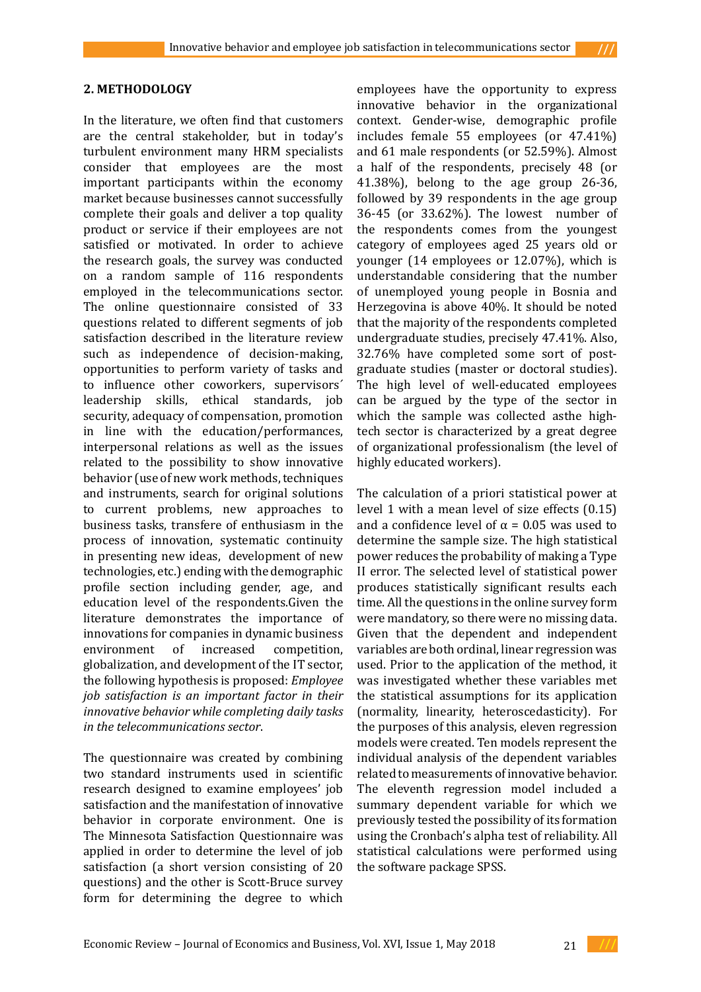# **2. METHODOLOGY**

In the literature, we often find that customers are the central stakeholder, but in today's turbulent environment many HRM specialists consider that employees are the most important participants within the economy market because businesses cannot successfully complete their goals and deliver a top quality product or service if their employees are not satisfied or motivated. In order to achieve the research goals, the survey was conducted on a random sample of 116 respondents employed in the telecommunications sector. The online questionnaire consisted of 33 questions related to different segments of job satisfaction described in the literature review such as independence of decision-making, opportunities to perform variety of tasks and to influence other coworkers, supervisors´ leadership skills, ethical standards, job security, adequacy of compensation, promotion in line with the education/performances, interpersonal relations as well as the issues related to the possibility to show innovative behavior (use of new work methods, techniques and instruments, search for original solutions to current problems, new approaches to business tasks, transfere of enthusiasm in the process of innovation, systematic continuity in presenting new ideas, development of new technologies, etc.) ending with the demographic profile section including gender, age, and education level of the respondents.Given the literature demonstrates the importance of innovations for companies in dynamic business<br>environment of increased competition, of increased globalization, and development of the IT sector, the following hypothesis is proposed: *Employee job satisfaction is an important factor in their innovative behavior while completing daily tasks in the telecommunications sector*.

The questionnaire was created by combining two standard instruments used in scientific research designed to examine employees' job satisfaction and the manifestation of innovative behavior in corporate environment. One is The Minnesota Satisfaction Questionnaire was applied in order to determine the level of job satisfaction (a short version consisting of 20 questions) and the other is Scott-Bruce survey form for determining the degree to which employees have the opportunity to express innovative behavior in the organizational context. Gender-wise, demographic profile includes female 55 employees (or 47.41%) and 61 male respondents (or 52.59%). Almost a half of the respondents, precisely 48 (or 41.38%), belong to the age group 26-36, followed by 39 respondents in the age group 36-45 (or 33.62%). The lowest number of the respondents comes from the youngest category of employees aged 25 years old or younger (14 employees or 12.07%), which is understandable considering that the number of unemployed young people in Bosnia and Herzegovina is above 40%. It should be noted that the majority of the respondents completed undergraduate studies, precisely 47.41%. Also, 32.76% have completed some sort of postgraduate studies (master or doctoral studies). The high level of well-educated employees can be argued by the type of the sector in which the sample was collected asthe hightech sector is characterized by a great degree of organizational professionalism (the level of highly educated workers).

The calculation of a priori statistical power at level 1 with a mean level of size effects (0.15) and a confidence level of  $\alpha$  = 0.05 was used to determine the sample size. The high statistical power reduces the probability of making a Type II error. The selected level of statistical power produces statistically significant results each time. All the questions in the online survey form were mandatory, so there were no missing data. Given that the dependent and independent variables are both ordinal, linear regression was used. Prior to the application of the method, it was investigated whether these variables met the statistical assumptions for its application (normality, linearity, heteroscedasticity). For the purposes of this analysis, eleven regression models were created. Ten models represent the individual analysis of the dependent variables related to measurements of innovative behavior. The eleventh regression model included a summary dependent variable for which we previously tested the possibility of its formation using the Cronbach's alpha test of reliability. All statistical calculations were performed using the software package SPSS.

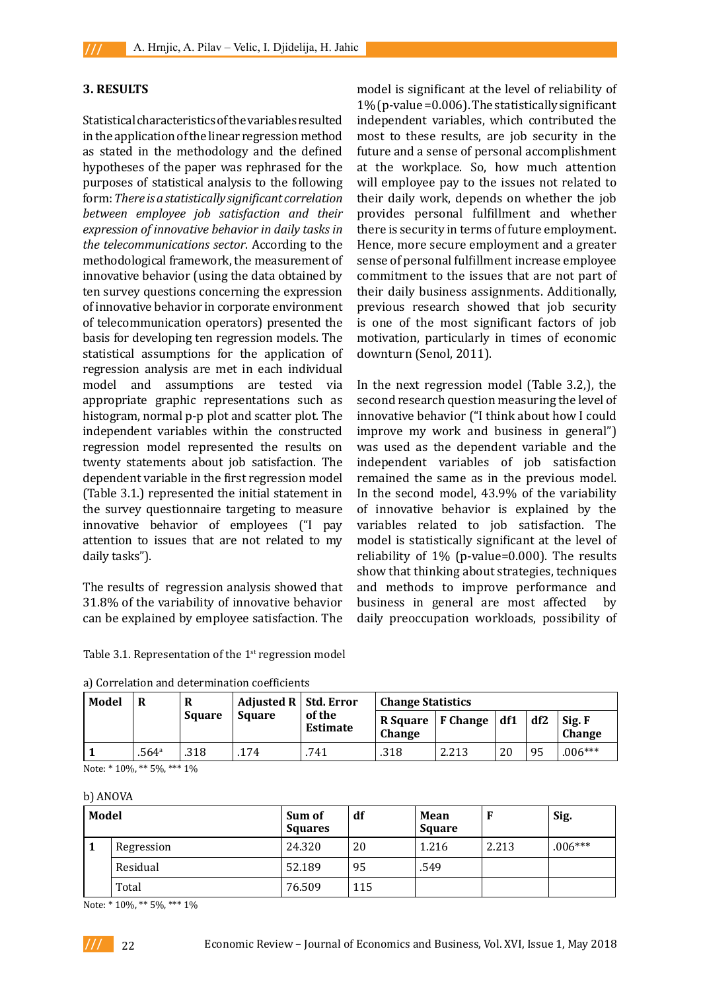## **3. RESULTS**

Statistical characteristics of the variables resulted in the application of the linear regression method as stated in the methodology and the defined hypotheses of the paper was rephrased for the purposes of statistical analysis to the following form: *There is a statistically significant correlation between employee job satisfaction and their expression of innovative behavior in daily tasks in the telecommunications sector*. According to the methodological framework, the measurement of innovative behavior (using the data obtained by ten survey questions concerning the expression of innovative behavior in corporate environment of telecommunication operators) presented the basis for developing ten regression models. The statistical assumptions for the application of regression analysis are met in each individual model and assumptions are tested via appropriate graphic representations such as histogram, normal p-p plot and scatter plot. The independent variables within the constructed regression model represented the results on twenty statements about job satisfaction. The dependent variable in the first regression model (Table 3.1.) represented the initial statement in the survey questionnaire targeting to measure innovative behavior of employees ("I pay attention to issues that are not related to my daily tasks").

The results of regression analysis showed that 31.8% of the variability of innovative behavior can be explained by employee satisfaction. The

model is significant at the level of reliability of 1% (p-value =0.006). The statistically significant independent variables, which contributed the most to these results, are job security in the future and a sense of personal accomplishment at the workplace. So, how much attention will employee pay to the issues not related to their daily work, depends on whether the job provides personal fulfillment and whether there is security in terms of future employment. Hence, more secure employment and a greater sense of personal fulfillment increase employee commitment to the issues that are not part of their daily business assignments. Additionally, previous research showed that job security is one of the most significant factors of job motivation, particularly in times of economic downturn (Senol, 2011).

In the next regression model (Table 3.2,), the second research question measuring the level of innovative behavior ("I think about how I could improve my work and business in general") was used as the dependent variable and the independent variables of job satisfaction remained the same as in the previous model. In the second model, 43.9% of the variability of innovative behavior is explained by the variables related to job satisfaction. The model is statistically significant at the level of reliability of 1% (p-value=0.000). The results show that thinking about strategies, techniques and methods to improve performance and business in general are most affected by daily preoccupation workloads, possibility of

| Model | R                 | R             | Adjusted $R \mid$ Std. Error |                           | <b>Change Statistics</b> |                                       |    |     |                         |
|-------|-------------------|---------------|------------------------------|---------------------------|--------------------------|---------------------------------------|----|-----|-------------------------|
|       |                   | <b>Square</b> | <b>Square</b>                | of the<br><b>Estimate</b> | Change                   | R Square   F Change $\vert df1 \vert$ |    | df2 | Sig. F<br><b>Change</b> |
|       | .564 <sup>a</sup> | .318          | 174                          | 741                       | .318                     | 2.213                                 | 20 | 95  | $.006***$               |

a) Correlation and determination coefficients

Note: \* 10%, \*\* 5%, \*\*\* 1%

|  | b) ANOVA |  |
|--|----------|--|
|--|----------|--|

| Model |            | Sum of<br><b>Squares</b> | df  | Mean<br><b>Square</b> |       | Sig.      |
|-------|------------|--------------------------|-----|-----------------------|-------|-----------|
|       | Regression | 24.320                   | 20  | 1.216                 | 2.213 | $.006***$ |
|       | Residual   | 52.189                   | 95  | .549                  |       |           |
|       | Total      | 76.509                   | 115 |                       |       |           |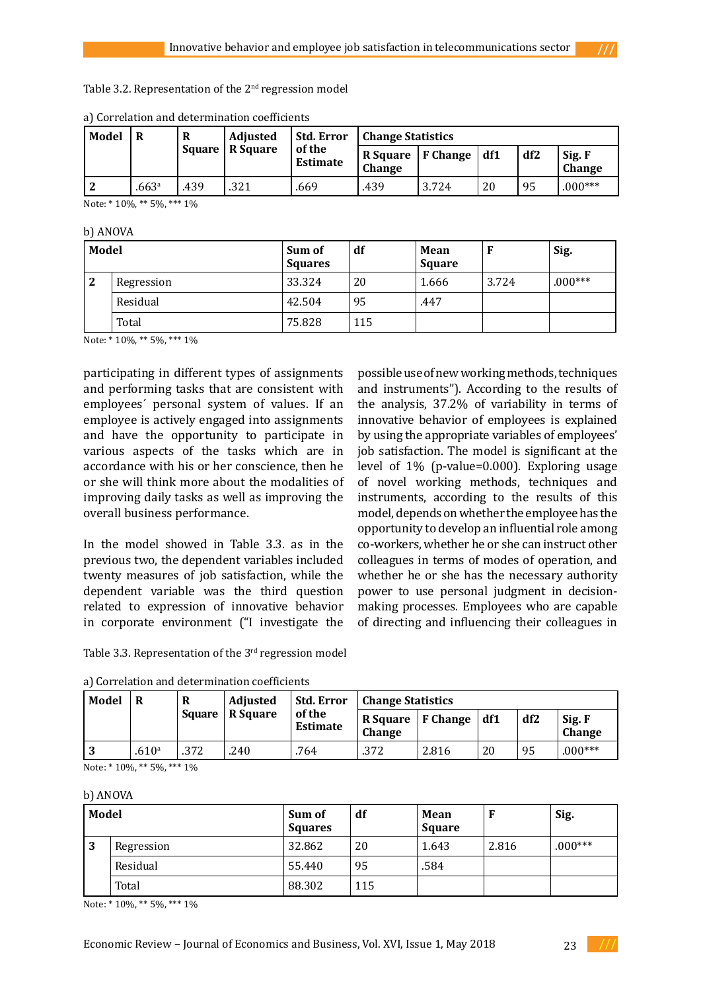## Table 3.2. Representation of the 2<sup>nd</sup> regression model

| Model | R<br>R<br>Square 1  |          | Std. Error<br><b>Adjusted</b> |               |                             | <b>Change Statistics</b> |     |                         |           |  |
|-------|---------------------|----------|-------------------------------|---------------|-----------------------------|--------------------------|-----|-------------------------|-----------|--|
|       |                     | R Square | of the<br><b>Estimate</b>     | <b>Change</b> | R Square   F Change $  df1$ |                          | df2 | Sig. F<br><b>Change</b> |           |  |
| ▵     | $.663$ <sup>a</sup> | .439     | .321                          | .669          | .439                        | 3.724                    | 20  | 95                      | $.000***$ |  |

a) Correlation and determination coefficients

Note: \* 10%, \*\* 5%, \*\*\* 1%

## b) ANOVA

| Model       |            | Sum of<br><b>Squares</b> | df  | Mean<br><b>Square</b> |       | Sig.      |
|-------------|------------|--------------------------|-----|-----------------------|-------|-----------|
| $\mathbf 2$ | Regression | 33.324                   | 20  | 1.666                 | 3.724 | $.000***$ |
|             | Residual   | 42.504                   | 95  | .447                  |       |           |
|             | Total      | 75.828                   | 115 |                       |       |           |

Note: \* 10%, \*\* 5%, \*\*\* 1%

participating in different types of assignments and performing tasks that are consistent with employees´ personal system of values. If an employee is actively engaged into assignments and have the opportunity to participate in various aspects of the tasks which are in accordance with his or her conscience, then he or she will think more about the modalities of improving daily tasks as well as improving the overall business performance.

In the model showed in Table 3.3. as in the previous two, the dependent variables included twenty measures of job satisfaction, while the dependent variable was the third question related to expression of innovative behavior in corporate environment ("I investigate the possible use of new working methods, techniques and instruments"). According to the results of the analysis, 37.2% of variability in terms of innovative behavior of employees is explained by using the appropriate variables of employees' job satisfaction. The model is significant at the level of 1% (p-value=0.000). Exploring usage of novel working methods, techniques and instruments, according to the results of this model, depends on whether the employee has the opportunity to develop an influential role among co-workers, whether he or she can instruct other colleagues in terms of modes of operation, and whether he or she has the necessary authority power to use personal judgment in decisionmaking processes. Employees who are capable of directing and influencing their colleagues in

| Table 3.3. Representation of the 3 <sup>rd</sup> regression model |  |  |  |
|-------------------------------------------------------------------|--|--|--|
|-------------------------------------------------------------------|--|--|--|

a) Correlation and determination coefficients

| Model | R                 | R             | <b>Adjusted</b> | <b>Std. Error</b><br>of the<br><b>Estimate</b> | <b>Change Statistics</b> |                             |    |     |                  |
|-------|-------------------|---------------|-----------------|------------------------------------------------|--------------------------|-----------------------------|----|-----|------------------|
|       |                   | <b>Square</b> | R Square        |                                                | <b>Change</b>            | R Square   F Change $  df1$ |    | df2 | Sig. F<br>Change |
| 3     | .610 <sup>a</sup> | .372          | .240            | .764                                           | .372                     | 2.816                       | 20 | 95  | $.000***$        |

Note: \* 10%, \*\* 5%, \*\*\* 1%

#### b) ANOVA

| Model |            | Sum of<br><b>Squares</b> | df  | <b>Mean</b><br><b>Square</b> |       | Sig.      |
|-------|------------|--------------------------|-----|------------------------------|-------|-----------|
| 3     | Regression | 32.862                   | 20  | 1.643                        | 2.816 | $.000***$ |
|       | Residual   | 55.440                   | 95  | .584                         |       |           |
|       | Total      | 88.302                   | 115 |                              |       |           |

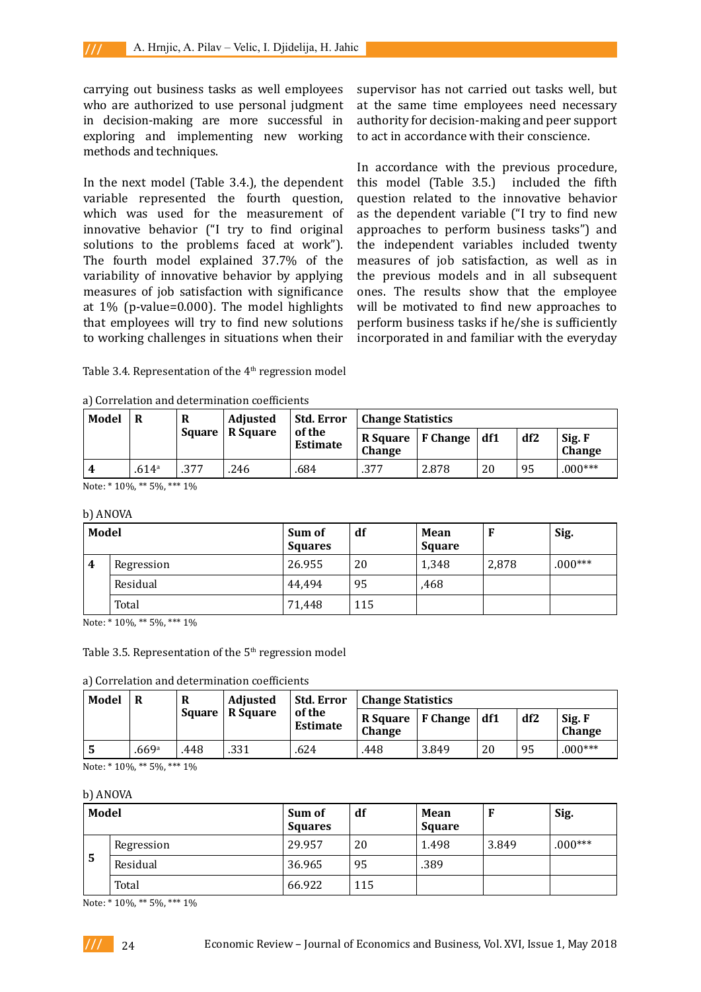carrying out business tasks as well employees who are authorized to use personal judgment in decision-making are more successful in exploring and implementing new working methods and techniques.

In the next model (Table 3.4.), the dependent variable represented the fourth question, which was used for the measurement of innovative behavior ("I try to find original solutions to the problems faced at work"). The fourth model explained 37.7% of the variability of innovative behavior by applying measures of job satisfaction with significance at 1% (p-value=0.000). The model highlights that employees will try to find new solutions to working challenges in situations when their

supervisor has not carried out tasks well, but at the same time employees need necessary authority for decision-making and peer support to act in accordance with their conscience.

In accordance with the previous procedure, this model (Table 3.5.) included the fifth question related to the innovative behavior as the dependent variable ("I try to find new approaches to perform business tasks") and the independent variables included twenty measures of job satisfaction, as well as in the previous models and in all subsequent ones. The results show that the employee will be motivated to find new approaches to perform business tasks if he/she is sufficiently incorporated in and familiar with the everyday

| Table 3.4. Representation of the 4 <sup>th</sup> regression model |  |  |  |
|-------------------------------------------------------------------|--|--|--|
|-------------------------------------------------------------------|--|--|--|

| Model | R                 | R    | <b>Adjusted</b>   | <b>Std. Error</b>         | Change Statistics         |                 |     |     |                         |
|-------|-------------------|------|-------------------|---------------------------|---------------------------|-----------------|-----|-----|-------------------------|
|       |                   |      | Square   R Square | of the<br><b>Estimate</b> | R Square<br><b>Change</b> | <b>F</b> Change | df1 | df2 | Sig. F<br><b>Change</b> |
| 4     | .614 <sup>a</sup> | .377 | .246              | .684                      | .377                      | 2.878           | 20  | 95  | $.000***$               |

a) Correlation and determination coefficients

Note: \* 10%, \*\* 5%, \*\*\* 1%

#### b) ANOVA

| Model |            | Sum of<br><b>Squares</b> | df  | <b>Mean</b><br><b>Square</b> |       | Sig.      |
|-------|------------|--------------------------|-----|------------------------------|-------|-----------|
| 4     | Regression | 26.955                   | 20  | 1,348                        | 2,878 | $.000***$ |
|       | Residual   | 44.494                   | 95  | .468                         |       |           |
|       | Total      | 71.448                   | 115 |                              |       |           |

Note: \* 10%, \*\* 5%, \*\*\* 1%

#### Table 3.5. Representation of the 5<sup>th</sup> regression model

#### a) Correlation and determination coefficients

| Model |       | R    | <b>Adjusted</b><br>Square   R Square | <b>Std. Error</b><br>of the<br><b>Estimate</b> | Change Statistics |                           |     |                 |                         |  |
|-------|-------|------|--------------------------------------|------------------------------------------------|-------------------|---------------------------|-----|-----------------|-------------------------|--|
|       |       |      |                                      |                                                | Change            | R Square $\vert$ F Change | df1 | df <sub>2</sub> | Sig. F<br><b>Change</b> |  |
| 5     | .669a | .448 | .331                                 | .624                                           | .448              | 3.849                     | 20  | 95              | $.000***$               |  |

Note: \* 10%, \*\* 5%, \*\*\* 1%

### b) ANOVA

| Model |            | Sum of<br><b>Squares</b> | df  | Mean<br><b>Square</b> |       | Sig.      |
|-------|------------|--------------------------|-----|-----------------------|-------|-----------|
| 5     | Regression | 29.957                   | 20  | 1.498                 | 3.849 | $.000***$ |
|       | Residual   | 36.965                   | 95  | .389                  |       |           |
|       | Total      | 66.922                   | 115 |                       |       |           |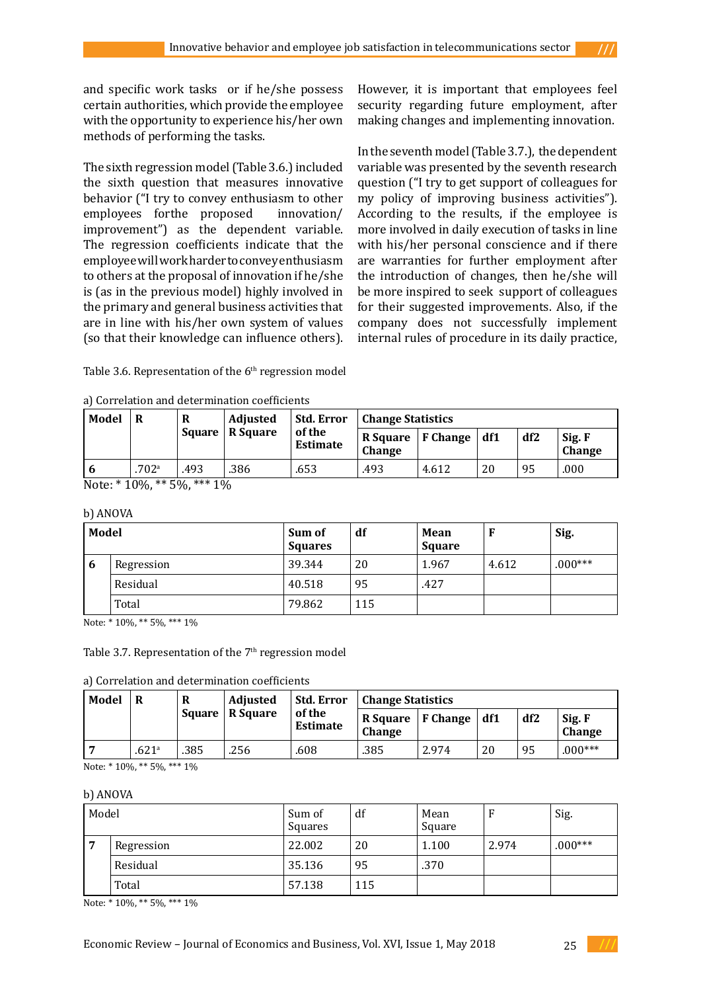and specific work tasks or if he/she possess certain authorities, which provide the employee with the opportunity to experience his/her own methods of performing the tasks.

The sixth regression model (Table 3.6.) included the sixth question that measures innovative behavior ("I try to convey enthusiasm to other<br>employees forthe proposed innovation/ employees forthe proposed improvement") as the dependent variable. The regression coefficients indicate that the employee will work harder to convey enthusiasm to others at the proposal of innovation if he/she is (as in the previous model) highly involved in the primary and general business activities that are in line with his/her own system of values (so that their knowledge can influence others). However, it is important that employees feel security regarding future employment, after making changes and implementing innovation.

In the seventh model (Table 3.7.), the dependent variable was presented by the seventh research question ("I try to get support of colleagues for my policy of improving business activities"). According to the results, if the employee is more involved in daily execution of tasks in line with his/her personal conscience and if there are warranties for further employment after the introduction of changes, then he/she will be more inspired to seek support of colleagues for their suggested improvements. Also, if the company does not successfully implement internal rules of procedure in its daily practice,

Table 3.6. Representation of the  $6<sup>th</sup>$  regression model

| Model | R                 | R    | <b>Adjusted</b><br>Square   R Square | <b>Std. Error</b><br>of the<br><b>Estimate</b> | <b>Change Statistics</b>            |       |     |     |                         |  |
|-------|-------------------|------|--------------------------------------|------------------------------------------------|-------------------------------------|-------|-----|-----|-------------------------|--|
|       |                   |      |                                      |                                                | R Square $\vert$ F Change<br>Change |       | df1 | df2 | Sig. F<br><b>Change</b> |  |
|       | .702 <sup>a</sup> | .493 | .386                                 | .653                                           | .493                                | 4.612 | 20  | 95  | .000                    |  |

a) Correlation and determination coefficients

Note: \* 10%, \*\* 5%, \*\*\* 1%

#### b) ANOVA

| Model |            | Sum of<br><b>Squares</b> | df  | Mean<br><b>Square</b> |       | Sig.      |
|-------|------------|--------------------------|-----|-----------------------|-------|-----------|
| h     | Regression | 39.344                   | 20  | 1.967                 | 4.612 | $.000***$ |
|       | Residual   | 40.518                   | 95  | .427                  |       |           |
|       | Total      | 79.862                   | 115 |                       |       |           |

Note: \* 10%, \*\* 5%, \*\*\* 1%

#### Table 3.7. Representation of the 7<sup>th</sup> regression model

| Model |       | R    | <b>Adjusted</b><br>Square   R Square | <b>Std. Error</b><br>of the<br><b>Estimate</b> | <b>Change Statistics</b> |                     |     |                 |                         |  |
|-------|-------|------|--------------------------------------|------------------------------------------------|--------------------------|---------------------|-----|-----------------|-------------------------|--|
|       |       |      |                                      |                                                | <b>Change</b>            | R Square   F Change | df1 | df <sub>2</sub> | Sig. F<br><b>Change</b> |  |
|       | .621a | .385 | .256                                 | .608                                           | .385                     | 2.974               | 20  | 95              | $.000***$               |  |

Note: \* 10%, \*\* 5%, \*\*\* 1%

#### b) ANOVA

| Model |            | Sum of<br>Squares | df  | Mean<br>Square |       | Sig.      |
|-------|------------|-------------------|-----|----------------|-------|-----------|
|       | Regression | 22.002            | 20  | 1.100          | 2.974 | $.000***$ |
|       | Residual   | 35.136            | 95  | .370           |       |           |
|       | Total      | 57.138            | 115 |                |       |           |

Note: \* 10%, \*\* 5%, \*\*\* 1%

25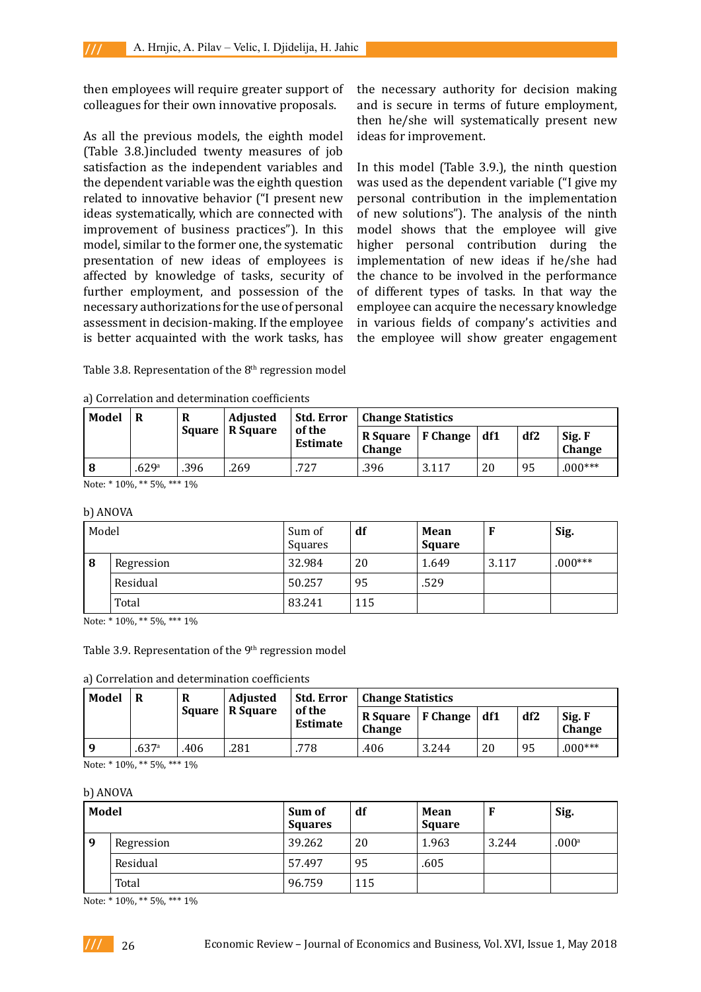then employees will require greater support of colleagues for their own innovative proposals.

As all the previous models, the eighth model (Table 3.8.)included twenty measures of job satisfaction as the independent variables and the dependent variable was the eighth question related to innovative behavior ("I present new ideas systematically, which are connected with improvement of business practices"). In this model, similar to the former one, the systematic presentation of new ideas of employees is affected by knowledge of tasks, security of further employment, and possession of the necessary authorizations for the use of personal assessment in decision-making. If the employee is better acquainted with the work tasks, has

the necessary authority for decision making and is secure in terms of future employment, then he/she will systematically present new ideas for improvement.

In this model (Table 3.9.), the ninth question was used as the dependent variable ("I give my personal contribution in the implementation of new solutions"). The analysis of the ninth model shows that the employee will give higher personal contribution during the implementation of new ideas if he/she had the chance to be involved in the performance of different types of tasks. In that way the employee can acquire the necessary knowledge in various fields of company's activities and the employee will show greater engagement

Table 3.8. Representation of the  $8<sup>th</sup>$  regression model

| Model | R     | R    | <b>Adjusted</b><br>Square   R Square | <b>Std. Error</b><br>of the<br><b>Estimate</b> | <b>Change Statistics</b> |                  |     |     |                  |  |
|-------|-------|------|--------------------------------------|------------------------------------------------|--------------------------|------------------|-----|-----|------------------|--|
|       |       |      |                                      |                                                | R Square<br>Change       | $\vert$ F Change | df1 | df2 | Sig. F<br>Change |  |
|       | .629a | .396 | .269                                 | .727                                           | .396                     | 3.117            | 20  | 95  | $.000***$        |  |

a) Correlation and determination coefficients

Note: \* 10%, \*\* 5%, \*\*\* 1%

#### b) ANOVA

| Model |            | Sum of<br>Squares | df  | Mean<br><b>Square</b> |       | Sig.      |
|-------|------------|-------------------|-----|-----------------------|-------|-----------|
| 8     | Regression | 32.984            | 20  | 1.649                 | 3.117 | $.000***$ |
|       | Residual   | 50.257            | 95  | .529                  |       |           |
|       | Total      | 83.241            | 115 |                       |       |           |

Note: \* 10%, \*\* 5%, \*\*\* 1%

## Table 3.9. Representation of the 9<sup>th</sup> regression model

| Model |       | R    | <b>Adjusted</b><br>Square   R Square | <b>Std. Error</b><br>of the<br><b>Estimate</b> | <b>Change Statistics</b>  |                        |     |                 |                  |  |
|-------|-------|------|--------------------------------------|------------------------------------------------|---------------------------|------------------------|-----|-----------------|------------------|--|
|       |       |      |                                      |                                                | R Square<br><b>Change</b> | $\mid$ F Change $\mid$ | df1 | df <sub>2</sub> | Sig. F<br>Change |  |
| q     | .637a | .406 | 281                                  | .778                                           | .406                      | 3.244                  | 20  | 95              | $.000***$        |  |

Note: \* 10%, \*\* 5%, \*\*\* 1%

#### b) ANOVA

| Model |            | Sum of<br><b>Squares</b> | df  | Mean<br><b>Square</b> |       | Sig.              |
|-------|------------|--------------------------|-----|-----------------------|-------|-------------------|
| 9     | Regression | 39.262                   | 20  | 1.963                 | 3.244 | .000 <sup>a</sup> |
|       | Residual   | 57.497                   | 95  | .605                  |       |                   |
|       | Total      | 96.759                   | 115 |                       |       |                   |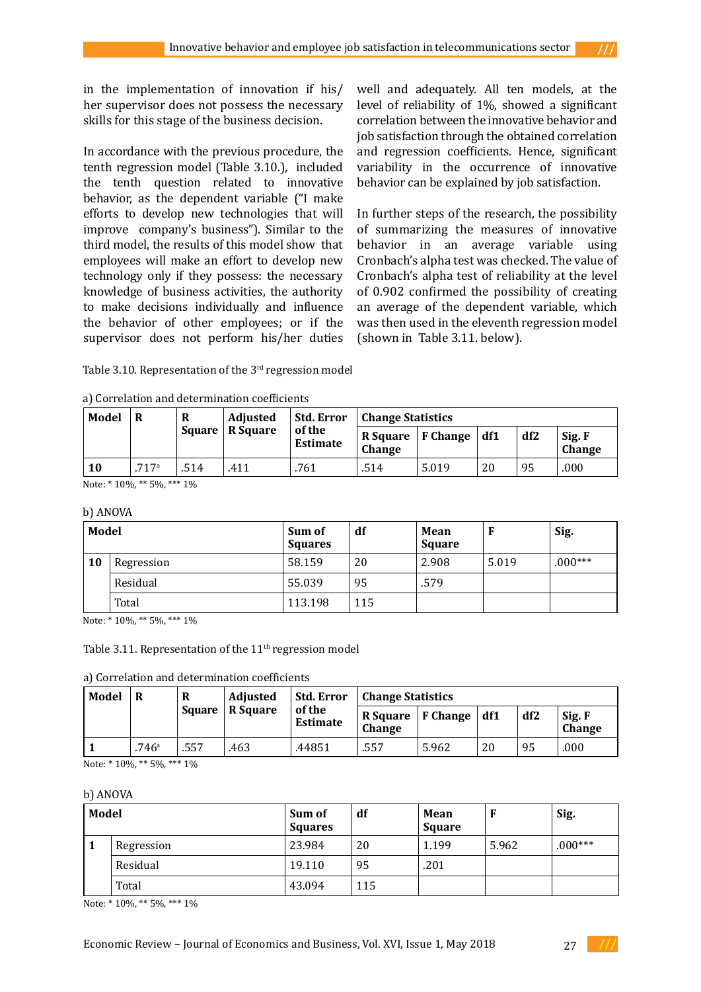in the implementation of innovation if his/ her supervisor does not possess the necessary skills for this stage of the business decision.

In accordance with the previous procedure, the tenth regression model (Table 3.10.), included the tenth question related to innovative behavior, as the dependent variable ("I make efforts to develop new technologies that will improve company's business"). Similar to the third model, the results of this model show that employees will make an effort to develop new technology only if they possess: the necessary knowledge of business activities, the authority to make decisions individually and influence the behavior of other employees; or if the supervisor does not perform his/her duties

well and adequately. All ten models, at the level of reliability of 1%, showed a significant correlation between the innovative behavior and job satisfaction through the obtained correlation and regression coefficients. Hence, significant variability in the occurrence of innovative behavior can be explained by job satisfaction.

In further steps of the research, the possibility of summarizing the measures of innovative behavior in an average variable using Cronbach's alpha test was checked. The value of Cronbach's alpha test of reliability at the level of 0.902 confirmed the possibility of creating an average of the dependent variable, which was then used in the eleventh regression model (shown in Table 3.11. below).

Table 3.10. Representation of the 3rd regression model

| Model     | R     | R    | <b>Adjusted</b><br>Square   R Square | <b>Std. Error</b><br>of the<br><b>Estimate</b> | <b>Change Statistics</b> |                             |       |     |                         |
|-----------|-------|------|--------------------------------------|------------------------------------------------|--------------------------|-----------------------------|-------|-----|-------------------------|
|           |       |      |                                      |                                                | <b>Change</b>            | R Square   F Change $\vert$ | ' df1 | df2 | Sig. F<br><b>Change</b> |
| <b>10</b> | .717a | .514 | .411                                 | .761                                           | .514                     | 5.019                       | 20    | 95  | .000                    |

a) Correlation and determination coefficients

Note: \* 10%, \*\* 5%, \*\*\* 1%

#### b) ANOVA

| Model |            | Sum of<br><b>Squares</b> | df  | Mean<br><b>Square</b> |       | Sig.      |
|-------|------------|--------------------------|-----|-----------------------|-------|-----------|
| 10    | Regression | 58.159                   | 20  | 2.908                 | 5.019 | $.000***$ |
|       | Residual   | 55.039                   | 95  | .579                  |       |           |
|       | Total      | 113.198                  | 115 |                       |       |           |

Note: \* 10%, \*\* 5%, \*\*\* 1%

#### Table 3.11. Representation of the  $11<sup>th</sup>$  regression model

| a) Correlation and determination coefficients |  |  |
|-----------------------------------------------|--|--|
|-----------------------------------------------|--|--|

| Model | R     | R<br><b>Square</b> | <b>Adjusted</b><br>R Square | Std. Error<br>of the<br><b>Estimate</b> | <b>Change Statistics</b> |                             |     |     |                  |
|-------|-------|--------------------|-----------------------------|-----------------------------------------|--------------------------|-----------------------------|-----|-----|------------------|
|       |       |                    |                             |                                         | Change                   | R Square   F Change $\vert$ | df1 | df2 | Sig. F<br>Change |
|       | .746a | .557               | .463                        | .44851                                  | .557                     | 5.962                       | 20  | 95  | .000             |

Note: \* 10%, \*\* 5%, \*\*\* 1%

#### b) ANOVA

| Model |            | Sum of<br><b>Squares</b> | df  | Mean<br><b>Square</b> |       | Sig.      |
|-------|------------|--------------------------|-----|-----------------------|-------|-----------|
|       | Regression | 23.984                   | 20  | 1.199                 | 5.962 | $.000***$ |
|       | Residual   | 19.110                   | 95  | .201                  |       |           |
|       | Total      | 43.094                   | 115 |                       |       |           |

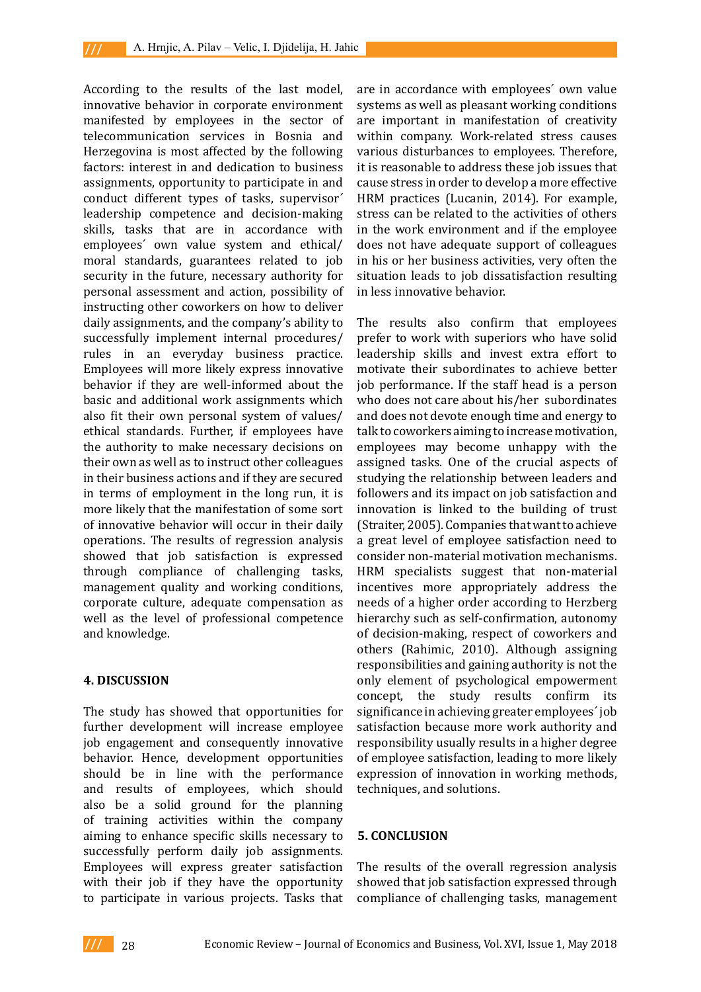According to the results of the last model, innovative behavior in corporate environment manifested by employees in the sector of telecommunication services in Bosnia and Herzegovina is most affected by the following factors: interest in and dedication to business assignments, opportunity to participate in and conduct different types of tasks, supervisor´ leadership competence and decision-making skills, tasks that are in accordance with employees´ own value system and ethical/ moral standards, guarantees related to job security in the future, necessary authority for personal assessment and action, possibility of instructing other coworkers on how to deliver daily assignments, and the company's ability to successfully implement internal procedures/ rules in an everyday business practice. Employees will more likely express innovative behavior if they are well-informed about the basic and additional work assignments which also fit their own personal system of values/ ethical standards. Further, if employees have the authority to make necessary decisions on their own as well as to instruct other colleagues in their business actions and if they are secured in terms of employment in the long run, it is more likely that the manifestation of some sort of innovative behavior will occur in their daily operations. The results of regression analysis showed that job satisfaction is expressed through compliance of challenging tasks, management quality and working conditions, corporate culture, adequate compensation as well as the level of professional competence and knowledge.

## **4. DISCUSSION**

The study has showed that opportunities for further development will increase employee job engagement and consequently innovative behavior. Hence, development opportunities should be in line with the performance and results of employees, which should also be a solid ground for the planning of training activities within the company aiming to enhance specific skills necessary to successfully perform daily job assignments. Employees will express greater satisfaction with their job if they have the opportunity to participate in various projects. Tasks that are in accordance with employees´ own value systems as well as pleasant working conditions are important in manifestation of creativity within company. Work-related stress causes various disturbances to employees. Therefore, it is reasonable to address these job issues that cause stress in order to develop a more effective HRM practices (Lucanin, 2014). For example, stress can be related to the activities of others in the work environment and if the employee does not have adequate support of colleagues in his or her business activities, very often the situation leads to job dissatisfaction resulting in less innovative behavior.

The results also confirm that employees prefer to work with superiors who have solid leadership skills and invest extra effort to motivate their subordinates to achieve better job performance. If the staff head is a person who does not care about his/her subordinates and does not devote enough time and energy to talk to coworkers aiming to increase motivation, employees may become unhappy with the assigned tasks. One of the crucial aspects of studying the relationship between leaders and followers and its impact on job satisfaction and innovation is linked to the building of trust (Straiter, 2005). Companies that want to achieve a great level of employee satisfaction need to consider non-material motivation mechanisms. HRM specialists suggest that non-material incentives more appropriately address the needs of a higher order according to Herzberg hierarchy such as self-confirmation, autonomy of decision-making, respect of coworkers and others (Rahimic, 2010). Although assigning responsibilities and gaining authority is not the only element of psychological empowerment concept, the study results confirm its significance in achieving greater employees´ job satisfaction because more work authority and responsibility usually results in a higher degree of employee satisfaction, leading to more likely expression of innovation in working methods, techniques, and solutions.

## **5. CONCLUSION**

The results of the overall regression analysis showed that job satisfaction expressed through compliance of challenging tasks, management

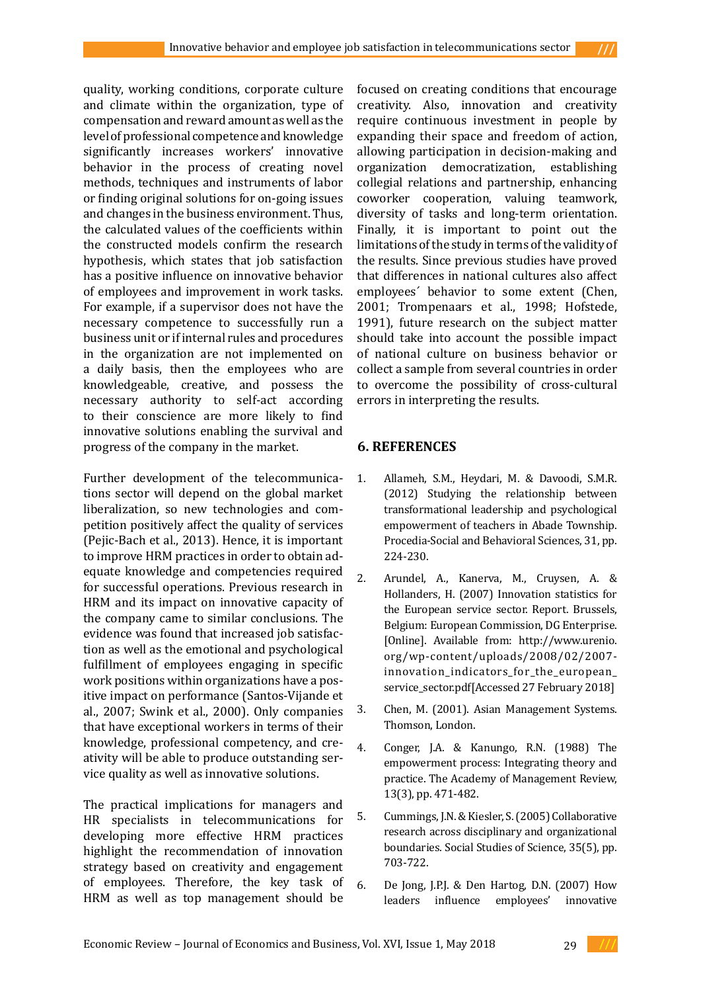quality, working conditions, corporate culture and climate within the organization, type of compensation and reward amount as well as the level of professional competence and knowledge significantly increases workers' innovative behavior in the process of creating novel methods, techniques and instruments of labor or finding original solutions for on-going issues and changes in the business environment. Thus, the calculated values of the coefficients within the constructed models confirm the research hypothesis, which states that job satisfaction has a positive influence on innovative behavior of employees and improvement in work tasks. For example, if a supervisor does not have the necessary competence to successfully run a business unit or if internal rules and procedures in the organization are not implemented on a daily basis, then the employees who are knowledgeable, creative, and possess the necessary authority to self-act according to their conscience are more likely to find innovative solutions enabling the survival and progress of the company in the market.

Further development of the telecommunications sector will depend on the global market liberalization, so new technologies and competition positively affect the quality of services (Pejic-Bach et al., 2013). Hence, it is important to improve HRM practices in order to obtain adequate knowledge and competencies required for successful operations. Previous research in HRM and its impact on innovative capacity of the company came to similar conclusions. The evidence was found that increased job satisfaction as well as the emotional and psychological fulfillment of employees engaging in specific work positions within organizations have a positive impact on performance (Santos-Vijande et al., 2007; Swink et al., 2000). Only companies that have exceptional workers in terms of their knowledge, professional competency, and creativity will be able to produce outstanding service quality as well as innovative solutions.

The practical implications for managers and HR specialists in telecommunications for developing more effective HRM practices highlight the recommendation of innovation strategy based on creativity and engagement of employees. Therefore, the key task of HRM as well as top management should be

focused on creating conditions that encourage creativity. Also, innovation and creativity require continuous investment in people by expanding their space and freedom of action, allowing participation in decision-making and organization democratization, establishing collegial relations and partnership, enhancing coworker cooperation, valuing teamwork, diversity of tasks and long-term orientation. Finally, it is important to point out the limitations of the study in terms of the validity of the results. Since previous studies have proved that differences in national cultures also affect employees´ behavior to some extent (Chen, 2001; Trompenaars et al., 1998; Hofstede, 1991), future research on the subject matter should take into account the possible impact of national culture on business behavior or collect a sample from several countries in order to overcome the possibility of cross-cultural errors in interpreting the results.

# **6. REFERENCES**

- 1. Allameh, S.M., Heydari, M. & Davoodi, S.M.R. (2012) Studying the relationship between transformational leadership and psychological empowerment of teachers in Abade Township. Procedia-Social and Behavioral Sciences, 31, pp. 224-230.
- 2. Arundel, A., Kanerva, M., Cruysen, A. & Hollanders, H. (2007) Innovation statistics for the European service sector. Report. Brussels, Belgium: European Commission, DG Enterprise. [Online]. Available from: [http://www.urenio.](http://www.urenio.org/wp-content/uploads/2008/02/2007-innovation_indicators_for_the_european_service_sector.pdf) [org/wp-content/uploads/2008/02/2007](http://www.urenio.org/wp-content/uploads/2008/02/2007-innovation_indicators_for_the_european_service_sector.pdf) [innovation\\_indicators\\_for\\_the\\_european\\_](http://www.urenio.org/wp-content/uploads/2008/02/2007-innovation_indicators_for_the_european_service_sector.pdf) [service\\_sector.pdf](http://www.urenio.org/wp-content/uploads/2008/02/2007-innovation_indicators_for_the_european_service_sector.pdf)[Accessed 27 February 2018]
- 3. Chen, M. (2001). Asian Management Systems. Thomson, London.
- 4. Conger, J.A. & Kanungo, R.N. (1988) The empowerment process: Integrating theory and practice. The Academy of Management Review, 13(3), pp. 471-482.
- 5. Cummings, J.N. & Kiesler, S. (2005) Collaborative research across disciplinary and organizational boundaries. Social Studies of Science, 35(5), pp. 703-722.
- 6. De Jong, J.P.J. & Den Hartog, D.N. (2007) How leaders influence employees' innovative